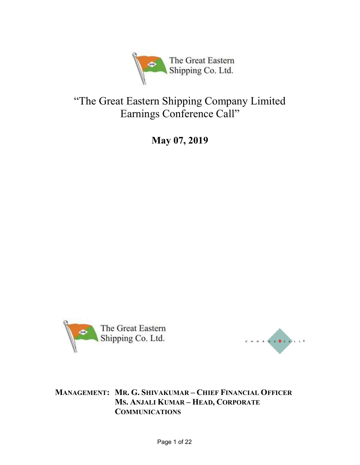

# "The Great Eastern Shipping Company Limited Earnings Conference Call"

May 07, 2019





## MANAGEMENT: MR. G. SHIVAKUMAR – CHIEF FINANCIAL OFFICER MS. ANJALI KUMAR – HEAD, CORPORATE **COMMUNICATIONS**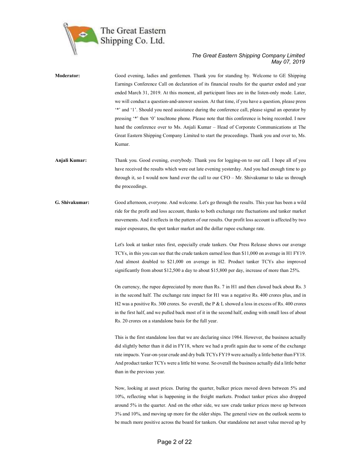

| Moderator:     | Good evening, ladies and gentlemen. Thank you for standing by. Welcome to GE Shipping<br>Earnings Conference Call on declaration of its financial results for the quarter ended and year<br>ended March 31, 2019. At this moment, all participant lines are in the listen-only mode. Later,<br>we will conduct a question-and-answer session. At that time, if you have a question, please press<br>"" and '1'. Should you need assistance during the conference call, please signal an operator by<br>pressing '*' then '0' touchtone phone. Please note that this conference is being recorded. I now<br>hand the conference over to Ms. Anjali Kumar - Head of Corporate Communications at The<br>Great Eastern Shipping Company Limited to start the proceedings. Thank you and over to, Ms.<br>Kumar.                                                                                                                                                                                                                                                                                                                                                                                                                                                         |
|----------------|--------------------------------------------------------------------------------------------------------------------------------------------------------------------------------------------------------------------------------------------------------------------------------------------------------------------------------------------------------------------------------------------------------------------------------------------------------------------------------------------------------------------------------------------------------------------------------------------------------------------------------------------------------------------------------------------------------------------------------------------------------------------------------------------------------------------------------------------------------------------------------------------------------------------------------------------------------------------------------------------------------------------------------------------------------------------------------------------------------------------------------------------------------------------------------------------------------------------------------------------------------------------|
| Anjali Kumar:  | Thank you. Good evening, everybody. Thank you for logging-on to our call. I hope all of you<br>have received the results which were out late evening yesterday. And you had enough time to go<br>through it, so I would now hand over the call to our $CFO - Mr$ . Shivakumar to take us through<br>the proceedings.                                                                                                                                                                                                                                                                                                                                                                                                                                                                                                                                                                                                                                                                                                                                                                                                                                                                                                                                               |
| G. Shivakumar: | Good afternoon, everyone. And welcome. Let's go through the results. This year has been a wild<br>ride for the profit and loss account, thanks to both exchange rate fluctuations and tanker market<br>movements. And it reflects in the pattern of our results. Our profit loss account is affected by two<br>major exposures, the spot tanker market and the dollar rupee exchange rate.<br>Let's look at tanker rates first, especially crude tankers. Our Press Release shows our average<br>TCYs, in this you can see that the crude tankers earned less than \$11,000 on average in H1 FY19.<br>And almost doubled to \$21,000 on average in H2. Product tanker TCYs also improved<br>significantly from about \$12,500 a day to about \$15,800 per day, increase of more than 25%.<br>On currency, the rupee depreciated by more than Rs. 7 in H1 and then clawed back about Rs. 3<br>in the second half. The exchange rate impact for H1 was a negative Rs. 400 crores plus, and in<br>H2 was a positive Rs. 300 crores. So overall, the P & L showed a loss in excess of Rs. 400 crores<br>in the first half, and we pulled back most of it in the second half, ending with small loss of about<br>Rs. 20 crores on a standalone basis for the full year. |
|                | This is the first standalone loss that we are declaring since 1984. However, the business actually<br>did slightly better than it did in FY18, where we had a profit again due to some of the exchange<br>rate impacts. Year-on-year crude and dry bulk TCYs FY19 were actually a little better than FY18.<br>And product tanker TCYs were a little bit worse. So overall the business actually did a little better<br>than in the previous year.                                                                                                                                                                                                                                                                                                                                                                                                                                                                                                                                                                                                                                                                                                                                                                                                                  |
|                | Now, looking at asset prices. During the quarter, bulker prices moved down between 5% and<br>10%, reflecting what is happening in the freight markets. Product tanker prices also dropped<br>around 5% in the quarter. And on the other side, we saw crude tanker prices move up between<br>3% and 10%, and moving up more for the older ships. The general view on the outlook seems to<br>be much more positive across the board for tankers. Our standalone net asset value moved up by                                                                                                                                                                                                                                                                                                                                                                                                                                                                                                                                                                                                                                                                                                                                                                         |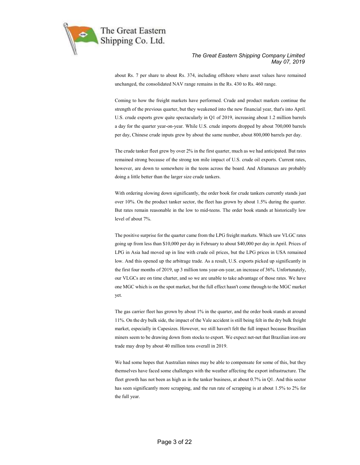

about Rs. 7 per share to about Rs. 374, including offshore where asset values have remained unchanged, the consolidated NAV range remains in the Rs. 430 to Rs. 460 range.

Coming to how the freight markets have performed. Crude and product markets continue the strength of the previous quarter, but they weakened into the new financial year, that's into April. U.S. crude exports grew quite spectacularly in Q1 of 2019, increasing about 1.2 million barrels a day for the quarter year-on-year. While U.S. crude imports dropped by about 700,000 barrels per day, Chinese crude inputs grew by about the same number, about 800,000 barrels per day.

The crude tanker fleet grew by over 2% in the first quarter, much as we had anticipated. But rates remained strong because of the strong ton mile impact of U.S. crude oil exports. Current rates, however, are down to somewhere in the teens across the board. And Aframaxes are probably doing a little better than the larger size crude tankers.

With ordering slowing down significantly, the order book for crude tankers currently stands just over 10%. On the product tanker sector, the fleet has grown by about 1.5% during the quarter. But rates remain reasonable in the low to mid-teens. The order book stands at historically low level of about 7%.

The positive surprise for the quarter came from the LPG freight markets. Which saw VLGC rates going up from less than \$10,000 per day in February to about \$40,000 per day in April. Prices of LPG in Asia had moved up in line with crude oil prices, but the LPG prices in USA remained low. And this opened up the arbitrage trade. As a result, U.S. exports picked up significantly in the first four months of 2019, up 3 million tons year-on-year, an increase of 36%. Unfortunately, our VLGCs are on time charter, and so we are unable to take advantage of those rates. We have one MGC which is on the spot market, but the full effect hasn't come through to the MGC market yet.

The gas carrier fleet has grown by about 1% in the quarter, and the order book stands at around 11%. On the dry bulk side, the impact of the Vale accident is still being felt in the dry bulk freight market, especially in Capesizes. However, we still haven't felt the full impact because Brazilian miners seem to be drawing down from stocks to export. We expect net-net that Brazilian iron ore trade may drop by about 40 million tons overall in 2019.

We had some hopes that Australian mines may be able to compensate for some of this, but they themselves have faced some challenges with the weather affecting the export infrastructure. The fleet growth has not been as high as in the tanker business, at about 0.7% in Q1. And this sector has seen significantly more scrapping, and the run rate of scrapping is at about 1.5% to 2% for the full year.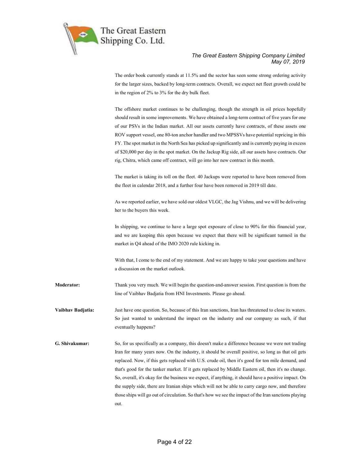

The order book currently stands at 11.5% and the sector has seen some strong ordering activity for the larger sizes, backed by long-term contracts. Overall, we expect net fleet growth could be in the region of 2% to 3% for the dry bulk fleet.

The offshore market continues to be challenging, though the strength in oil prices hopefully should result in some improvements. We have obtained a long-term contract of five years for one of our PSVs in the Indian market. All our assets currently have contracts, of these assets one ROV support vessel, one 80-ton anchor handler and two MPSSVs have potential repricing in this FY. The spot market in the North Sea has picked up significantly and is currently paying in excess of \$20,000 per day in the spot market. On the Jackup Rig side, all our assets have contracts. Our rig, Chitra, which came off contract, will go into her new contract in this month.

The market is taking its toll on the fleet. 40 Jackups were reported to have been removed from the fleet in calendar 2018, and a further four have been removed in 2019 till date.

As we reported earlier, we have sold our oldest VLGC, the Jag Vishnu, and we will be delivering her to the buyers this week.

In shipping, we continue to have a large spot exposure of close to 90% for this financial year, and we are keeping this open because we expect that there will be significant turmoil in the market in Q4 ahead of the IMO 2020 rule kicking in.

With that, I come to the end of my statement. And we are happy to take your questions and have a discussion on the market outlook.

Moderator: Thank you very much. We will begin the question-and-answer session. First question is from the line of Vaibhav Badjatia from HNI Investments. Please go ahead.

Vaibhav Badjatia: Just have one question. So, because of this Iran sanctions, Iran has threatened to close its waters. So just wanted to understand the impact on the industry and our company as such, if that eventually happens?

G. Shivakumar: So, for us specifically as a company, this doesn't make a difference because we were not trading Iran for many years now. On the industry, it should be overall positive, so long as that oil gets replaced. Now, if this gets replaced with U.S. crude oil, then it's good for ton mile demand, and that's good for the tanker market. If it gets replaced by Middle Eastern oil, then it's no change. So, overall, it's okay for the business we expect, if anything, it should have a positive impact. On the supply side, there are Iranian ships which will not be able to carry cargo now, and therefore those ships will go out of circulation. So that's how we see the impact of the Iran sanctions playing out.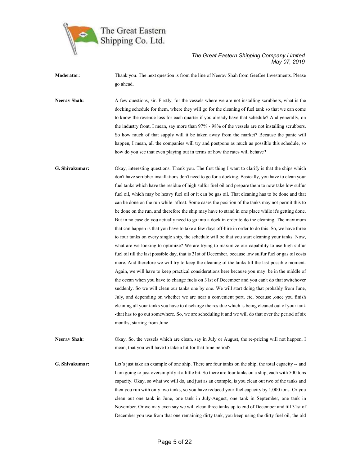

Moderator: Thank you. The next question is from the line of Neerav Shah from GeeCee Investments. Please go ahead.

Neerav Shah: A few questions, sir. Firstly, for the vessels where we are not installing scrubbers, what is the docking schedule for them, where they will go for the cleaning of fuel tank so that we can come to know the revenue loss for each quarter if you already have that schedule? And generally, on the industry front, I mean, say more than 97% - 98% of the vessels are not installing scrubbers. So how much of that supply will it be taken away from the market? Because the panic will happen, I mean, all the companies will try and postpone as much as possible this schedule, so how do you see that even playing out in terms of how the rates will behave?

G. Shivakumar: Okay, interesting questions. Thank you. The first thing I want to clarify is that the ships which don't have scrubber installations don't need to go for a docking. Basically, you have to clean your fuel tanks which have the residue of high sulfur fuel oil and prepare them to now take low sulfur fuel oil, which may be heavy fuel oil or it can be gas oil. That cleaning has to be done and that can be done on the run while afloat. Some cases the position of the tanks may not permit this to be done on the run, and therefore the ship may have to stand in one place while it's getting done. But in no case do you actually need to go into a dock in order to do the cleaning. The maximum that can happen is that you have to take a few days off-hire in order to do this. So, we have three to four tanks on every single ship, the schedule will be that you start cleaning your tanks. Now, what are we looking to optimize? We are trying to maximize our capability to use high sulfur fuel oil till the last possible day, that is 31st of December, because low sulfur fuel or gas oil costs more. And therefore we will try to keep the cleaning of the tanks till the last possible moment. Again, we will have to keep practical considerations here because you may be in the middle of the ocean when you have to change fuels on 31st of December and you can't do that switchover suddenly. So we will clean our tanks one by one. We will start doing that probably from June, July, and depending on whether we are near a convenient port, etc, because ,once you finish cleaning all your tanks you have to discharge the residue which is being cleaned out of your tank -that has to go out somewhere. So, we are scheduling it and we will do that over the period of six months, starting from June

Neerav Shah: Okay. So, the vessels which are clean, say in July or August, the re-pricing will not happen, I mean, that you will have to take a hit for that time period?

G. Shivakumar: Let's just take an example of one ship. There are four tanks on the ship, the total capacity -- and I am going to just oversimplify it a little bit. So there are four tanks on a ship, each with 500 tons capacity. Okay, so what we will do, and just as an example, is you clean out two of the tanks and then you run with only two tanks, so you have reduced your fuel capacity by 1,000 tons. Or you clean out one tank in June, one tank in July-August, one tank in September, one tank in November. Or we may even say we will clean three tanks up to end of December and till 31st of December you use from that one remaining dirty tank, you keep using the dirty fuel oil, the old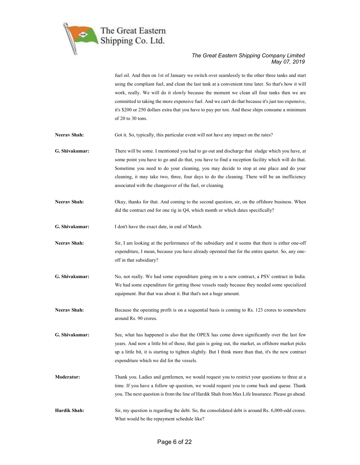

fuel oil. And then on 1st of January we switch over seamlessly to the other three tanks and start using the compliant fuel, and clean the last tank at a convenient time later. So that's how it will work, really. We will do it slowly because the moment we clean all four tanks then we are committed to taking the more expensive fuel. And we can't do that because it's just too expensive, it's \$200 or 250 dollars extra that you have to pay per ton. And these ships consume a minimum of 20 to 30 tons.

- Neerav Shah: Got it. So, typically, this particular event will not have any impact on the rates?
- G. Shivakumar: There will be some. I mentioned you had to go out and discharge that sludge which you have, at some point you have to go and do that, you have to find a reception facility which will do that. Sometime you need to do your cleaning, you may decide to stop at one place and do your cleaning, it may take two, three, four days to do the cleaning. There will be an inefficiency associated with the changeover of the fuel, or cleaning.
- Neerav Shah: Okay, thanks for that. And coming to the second question, sir, on the offshore business. When did the contract end for one rig in Q4, which month or which dates specifically?
- G. Shivakumar: I don't have the exact date, in end of March.
- Neerav Shah: Sir, I am looking at the performance of the subsidiary and it seems that there is either one-off expenditure, I mean, because you have already operated that for the entire quarter. So, any oneoff in that subsidiary?
- G. Shivakumar: No, not really. We had some expenditure going on to a new contract, a PSV contract in India. We had some expenditure for getting those vessels ready because they needed some specialized equipment. But that was about it. But that's not a huge amount.
- Neerav Shah: Because the operating profit is on a sequential basis is coming to Rs. 123 crores to somewhere around Rs. 90 crores.
- G. Shivakumar: See, what has happened is also that the OPEX has come down significantly over the last few years. And now a little bit of those, that gain is going out, the market, as offshore market picks up a little bit, it is starting to tighten slightly. But I think more than that, it's the new contract expenditure which we did for the vessels.
- Moderator: Thank you. Ladies and gentlemen, we would request you to restrict your questions to three at a time. If you have a follow up question, we would request you to come back and queue. Thank you. The next question is from the line of Hardik Shah from Max Life Insurance. Please go ahead.
- Hardik Shah: Sir, my question is regarding the debt. So, the consolidated debt is around Rs. 6,000-odd crores. What would be the repayment schedule like?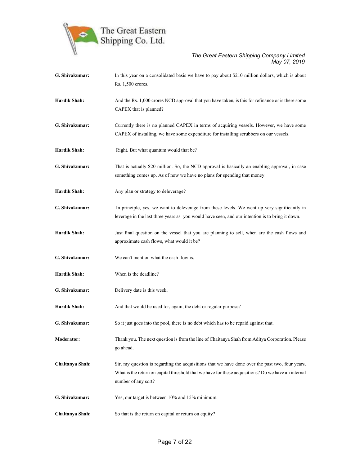

| G. Shivakumar:      | In this year on a consolidated basis we have to pay about \$210 million dollars, which is about<br>Rs. 1,500 crores.                                                                                                          |
|---------------------|-------------------------------------------------------------------------------------------------------------------------------------------------------------------------------------------------------------------------------|
| Hardik Shah:        | And the Rs. 1,000 crores NCD approval that you have taken, is this for refinance or is there some<br>CAPEX that is planned?                                                                                                   |
| G. Shivakumar:      | Currently there is no planned CAPEX in terms of acquiring vessels. However, we have some<br>CAPEX of installing, we have some expenditure for installing scrubbers on our vessels.                                            |
| <b>Hardik Shah:</b> | Right. But what quantum would that be?                                                                                                                                                                                        |
| G. Shivakumar:      | That is actually \$20 million. So, the NCD approval is basically an enabling approval, in case<br>something comes up. As of now we have no plans for spending that money.                                                     |
| Hardik Shah:        | Any plan or strategy to deleverage?                                                                                                                                                                                           |
| G. Shivakumar:      | In principle, yes, we want to deleverage from these levels. We went up very significantly in<br>leverage in the last three years as you would have seen, and our intention is to bring it down.                               |
| Hardik Shah:        | Just final question on the vessel that you are planning to sell, when are the cash flows and<br>approximate cash flows, what would it be?                                                                                     |
| G. Shivakumar:      | We can't mention what the cash flow is.                                                                                                                                                                                       |
| Hardik Shah:        | When is the deadline?                                                                                                                                                                                                         |
| G. Shivakumar:      | Delivery date is this week.                                                                                                                                                                                                   |
| Hardik Shah:        | And that would be used for, again, the debt or regular purpose?                                                                                                                                                               |
| G. Shivakumar:      | So it just goes into the pool, there is no debt which has to be repaid against that.                                                                                                                                          |
| Moderator:          | Thank you. The next question is from the line of Chaitanya Shah from Aditya Corporation. Please<br>go ahead.                                                                                                                  |
| Chaitanya Shah:     | Sir, my question is regarding the acquisitions that we have done over the past two, four years.<br>What is the return on capital threshold that we have for these acquisitions? Do we have an internal<br>number of any sort? |
| G. Shivakumar:      | Yes, our target is between 10% and 15% minimum.                                                                                                                                                                               |
| Chaitanya Shah:     | So that is the return on capital or return on equity?                                                                                                                                                                         |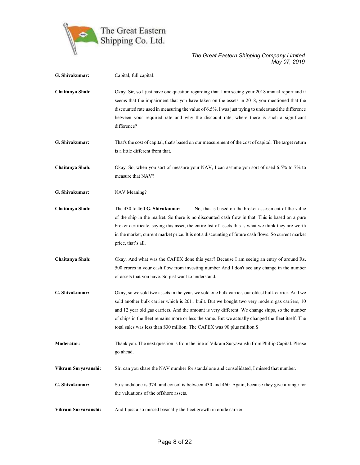

| G. Shivakumar:      | Capital, full capital.                                                                                                                                                                                                                                                                                                                                                                                                                                                                  |
|---------------------|-----------------------------------------------------------------------------------------------------------------------------------------------------------------------------------------------------------------------------------------------------------------------------------------------------------------------------------------------------------------------------------------------------------------------------------------------------------------------------------------|
| Chaitanya Shah:     | Okay. Sir, so I just have one question regarding that. I am seeing your 2018 annual report and it<br>seems that the impairment that you have taken on the assets in 2018, you mentioned that the<br>discounted rate used in measuring the value of 6.5%. I was just trying to understand the difference<br>between your required rate and why the discount rate, where there is such a significant<br>difference?                                                                       |
| G. Shivakumar:      | That's the cost of capital, that's based on our measurement of the cost of capital. The target return<br>is a little different from that.                                                                                                                                                                                                                                                                                                                                               |
| Chaitanya Shah:     | Okay. So, when you sort of measure your NAV, I can assume you sort of used 6.5% to 7% to<br>measure that NAV?                                                                                                                                                                                                                                                                                                                                                                           |
| G. Shivakumar:      | NAV Meaning?                                                                                                                                                                                                                                                                                                                                                                                                                                                                            |
| Chaitanya Shah:     | The 430 to 460 G. Shivakumar:<br>No, that is based on the broker assessment of the value<br>of the ship in the market. So there is no discounted cash flow in that. This is based on a pure<br>broker certificate, saying this asset, the entire list of assets this is what we think they are worth<br>in the market, current market price. It is not a discounting of future cash flows. So current market<br>price, that's all.                                                      |
| Chaitanya Shah:     | Okay. And what was the CAPEX done this year? Because I am seeing an entry of around Rs.<br>500 crores in your cash flow from investing number And I don't see any change in the number<br>of assets that you have. So just want to understand.                                                                                                                                                                                                                                          |
| G. Shivakumar:      | Okay, so we sold two assets in the year, we sold one bulk carrier, our oldest bulk carrier. And we<br>sold another bulk carrier which is 2011 built. But we bought two very modern gas carriers, 10<br>and 12 year old gas carriers. And the amount is very different. We change ships, so the number<br>of ships in the fleet remains more or less the same. But we actually changed the fleet itself. The<br>total sales was less than \$30 million. The CAPEX was 90 plus million \$ |
| <b>Moderator:</b>   | Thank you. The next question is from the line of Vikram Suryavanshi from Phillip Capital. Please<br>go ahead.                                                                                                                                                                                                                                                                                                                                                                           |
| Vikram Suryavanshi: | Sir, can you share the NAV number for standalone and consolidated, I missed that number.                                                                                                                                                                                                                                                                                                                                                                                                |
| G. Shivakumar:      | So standalone is 374, and consol is between 430 and 460. Again, because they give a range for<br>the valuations of the offshore assets.                                                                                                                                                                                                                                                                                                                                                 |
| Vikram Suryavanshi: | And I just also missed basically the fleet growth in crude carrier.                                                                                                                                                                                                                                                                                                                                                                                                                     |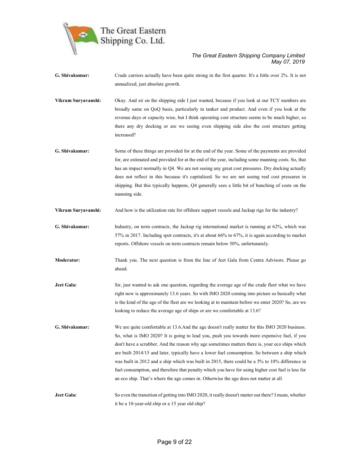

G. Shivakumar: Crude carriers actually have been quite strong in the first quarter. It's a little over 2%. It is not annualized, just absolute growth. Vikram Suryavanshi: Okay. And sir on the shipping side I just wanted, because if you look at our TCY numbers are broadly same on QoQ basis, particularly in tanker and product. And even if you look at the revenue days or capacity wise, but I think operating cost structure seems to be much higher, so there any dry docking or are we seeing even shipping side also the cost structure getting increased? G. Shivakumar: Some of these things are provided for at the end of the year. Some of the payments are provided for, are estimated and provided for at the end of the year, including some manning costs. So, that has an impact normally in Q4. We are not seeing any great cost pressures. Dry docking actually does not reflect in this because it's capitalized. So we are not seeing real cost pressures in shipping. But this typically happens, Q4 generally sees a little bit of bunching of costs on the manning side. Vikram Suryavanshi: And how is the utilization rate for offshore support vessels and Jackup rigs for the industry? G. Shivakumar: Industry, on term contracts, the Jackup rig international market is running at 62%, which was 57% in 2017. Including spot contracts, it's at about 66% to 67%, it is again according to market reports. Offshore vessels on term contracts remain below 50%, unfortunately. Moderator: Thank you. The next question is from the line of Jeet Gala from Centra Advisors. Please go ahead. **Jeet Gala:** Sir, just wanted to ask one question, regarding the average age of the crude fleet what we have right now is approximately 13.6 years. So with IMO 2020 coming into picture so basically what is the kind of the age of the fleet are we looking at to maintain before we enter 2020? So, are we looking to reduce the average age of ships or are we comfortable at 13.6? G. Shivakumar: We are quite comfortable at 13.6.And the age doesn't really matter for this IMO 2020 business. So, what is IMO 2020? It is going to lead you, push you towards more expensive fuel, if you don't have a scrubber. And the reason why age sometimes matters there is, your eco ships which are built 2014/15 and later, typically have a lower fuel consumption. So between a ship which was built in 2012 and a ship which was built in 2015, there could be a 5% to 10% difference in fuel consumption, and therefore that penalty which you have for using higher cost fuel is less for an eco ship. That's where the age comes in. Otherwise the age does not matter at all. Jeet Gala: So even the transition of getting into IMO 2020, it really doesn't matter out there? I mean, whether it be a 10-year-old ship or a 15 year old ship?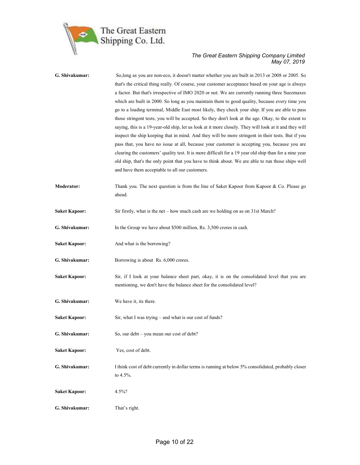

| G. Shivakumar:       | So, long as you are non-eco, it doesn't matter whether you are built in 2013 or 2008 or 2005. So<br>that's the critical thing really. Of course, your customer acceptance based on your age is always<br>a factor. But that's irrespective of IMO 2020 or not. We are currently running three Suezmaxes<br>which are built in 2000. So long as you maintain them to good quality, because every time you<br>go to a loading terminal, Middle East most likely, they check your ship. If you are able to pass<br>those stringent tests, you will be accepted. So they don't look at the age. Okay, to the extent to<br>saying, this is a 19-year-old ship, let us look at it more closely. They will look at it and they will<br>inspect the ship keeping that in mind. And they will be more stringent in their tests. But if you<br>pass that, you have no issue at all, because your customer is accepting you, because you are<br>clearing the customers' quality test. It is more difficult for a 19 year old ship than for a nine year<br>old ship, that's the only point that you have to think about. We are able to run those ships well<br>and have them acceptable to all our customers. |
|----------------------|----------------------------------------------------------------------------------------------------------------------------------------------------------------------------------------------------------------------------------------------------------------------------------------------------------------------------------------------------------------------------------------------------------------------------------------------------------------------------------------------------------------------------------------------------------------------------------------------------------------------------------------------------------------------------------------------------------------------------------------------------------------------------------------------------------------------------------------------------------------------------------------------------------------------------------------------------------------------------------------------------------------------------------------------------------------------------------------------------------------------------------------------------------------------------------------------------|
| Moderator:           | Thank you. The next question is from the line of Saket Kapoor from Kapoor & Co. Please go<br>ahead.                                                                                                                                                                                                                                                                                                                                                                                                                                                                                                                                                                                                                                                                                                                                                                                                                                                                                                                                                                                                                                                                                                |
| <b>Saket Kapoor:</b> | Sir firstly, what is the net – how much cash are we holding on as on $31st March$ ?                                                                                                                                                                                                                                                                                                                                                                                                                                                                                                                                                                                                                                                                                                                                                                                                                                                                                                                                                                                                                                                                                                                |
| G. Shivakumar:       | In the Group we have about \$500 million, Rs. 3,500 crores in cash.                                                                                                                                                                                                                                                                                                                                                                                                                                                                                                                                                                                                                                                                                                                                                                                                                                                                                                                                                                                                                                                                                                                                |
| <b>Saket Kapoor:</b> | And what is the borrowing?                                                                                                                                                                                                                                                                                                                                                                                                                                                                                                                                                                                                                                                                                                                                                                                                                                                                                                                                                                                                                                                                                                                                                                         |
| G. Shivakumar:       | Borrowing is about Rs. 6,000 crores.                                                                                                                                                                                                                                                                                                                                                                                                                                                                                                                                                                                                                                                                                                                                                                                                                                                                                                                                                                                                                                                                                                                                                               |
| <b>Saket Kapoor:</b> | Sir, if I look at your balance sheet part, okay, it is on the consolidated level that you are<br>mentioning, we don't have the balance sheet for the consolidated level?                                                                                                                                                                                                                                                                                                                                                                                                                                                                                                                                                                                                                                                                                                                                                                                                                                                                                                                                                                                                                           |
| G. Shivakumar:       | We have it, its there.                                                                                                                                                                                                                                                                                                                                                                                                                                                                                                                                                                                                                                                                                                                                                                                                                                                                                                                                                                                                                                                                                                                                                                             |
| <b>Saket Kapoor:</b> | Sir, what I was trying - and what is our cost of funds?                                                                                                                                                                                                                                                                                                                                                                                                                                                                                                                                                                                                                                                                                                                                                                                                                                                                                                                                                                                                                                                                                                                                            |
| G. Shivakumar:       | So, our debt - you mean our cost of debt?                                                                                                                                                                                                                                                                                                                                                                                                                                                                                                                                                                                                                                                                                                                                                                                                                                                                                                                                                                                                                                                                                                                                                          |
| <b>Saket Kapoor:</b> | Yes, cost of debt.                                                                                                                                                                                                                                                                                                                                                                                                                                                                                                                                                                                                                                                                                                                                                                                                                                                                                                                                                                                                                                                                                                                                                                                 |
| G. Shivakumar:       | I think cost of debt currently in dollar terms is running at below 5% consolidated, probably closer<br>to 4.5%.                                                                                                                                                                                                                                                                                                                                                                                                                                                                                                                                                                                                                                                                                                                                                                                                                                                                                                                                                                                                                                                                                    |
| <b>Saket Kapoor:</b> | 4.5%?                                                                                                                                                                                                                                                                                                                                                                                                                                                                                                                                                                                                                                                                                                                                                                                                                                                                                                                                                                                                                                                                                                                                                                                              |
| G. Shivakumar:       | That's right.                                                                                                                                                                                                                                                                                                                                                                                                                                                                                                                                                                                                                                                                                                                                                                                                                                                                                                                                                                                                                                                                                                                                                                                      |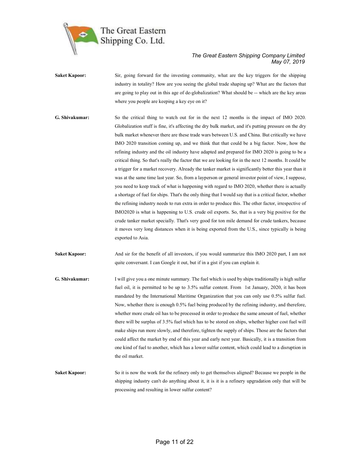

- Saket Kapoor: Sir, going forward for the investing community, what are the key triggers for the shipping industry in totality? How are you seeing the global trade shaping up? What are the factors that are going to play out in this age of de-globalization? What should be -- which are the key areas where you people are keeping a key eye on it?
- G. Shivakumar: So the critical thing to watch out for in the next 12 months is the impact of IMO 2020. Globalization stuff is fine, it's affecting the dry bulk market, and it's putting pressure on the dry bulk market whenever there are these trade wars between U.S. and China. But critically we have IMO 2020 transition coming up, and we think that that could be a big factor. Now, how the refining industry and the oil industry have adapted and prepared for IMO 2020 is going to be a critical thing. So that's really the factor that we are looking for in the next 12 months. It could be a trigger for a market recovery. Already the tanker market is significantly better this year than it was at the same time last year. So, from a layperson or general investor point of view, I suppose, you need to keep track of what is happening with regard to IMO 2020, whether there is actually a shortage of fuel for ships. That's the only thing that I would say that is a critical factor, whether the refining industry needs to run extra in order to produce this. The other factor, irrespective of IMO2020 is what is happening to U.S. crude oil exports. So, that is a very big positive for the crude tanker market specially. That's very good for ton mile demand for crude tankers, because it moves very long distances when it is being exported from the U.S., since typically is being exported to Asia.
- Saket Kapoor: And sir for the benefit of all investors, if you would summarize this IMO 2020 part, I am not quite conversant. I can Google it out, but if in a gist if you can explain it.
- G. Shivakumar: I will give you a one minute summary. The fuel which is used by ships traditionally is high sulfur fuel oil, it is permitted to be up to 3.5% sulfur content. From 1st January, 2020, it has been mandated by the International Maritime Organization that you can only use 0.5% sulfur fuel. Now, whether there is enough 0.5% fuel being produced by the refining industry, and therefore, whether more crude oil has to be processed in order to produce the same amount of fuel, whether there will be surplus of 3.5% fuel which has to be stored on ships, whether higher cost fuel will make ships run more slowly, and therefore, tighten the supply of ships. Those are the factors that could affect the market by end of this year and early next year. Basically, it is a transition from one kind of fuel to another, which has a lower sulfur content, which could lead to a disruption in the oil market.
- Saket Kapoor: So it is now the work for the refinery only to get themselves aligned? Because we people in the shipping industry can't do anything about it, it is it is a refinery upgradation only that will be processing and resulting in lower sulfur content?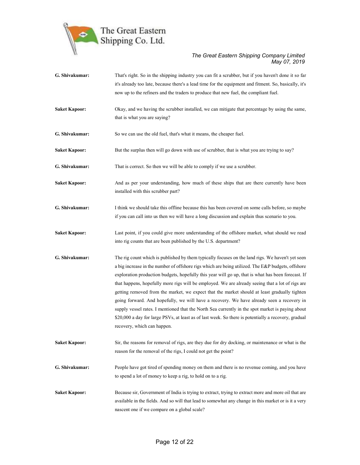

- G. Shivakumar: That's right. So in the shipping industry you can fit a scrubber, but if you haven't done it so far it's already too late, because there's a lead time for the equipment and fitment. So, basically, it's now up to the refiners and the traders to produce that new fuel, the compliant fuel.
- Saket Kapoor: Okay, and we having the scrubber installed, we can mitigate that percentage by using the same, that is what you are saying?
- G. Shivakumar: So we can use the old fuel, that's what it means, the cheaper fuel.
- Saket Kapoor: But the surplus then will go down with use of scrubber, that is what you are trying to say?
- G. Shivakumar: That is correct. So then we will be able to comply if we use a scrubber.
- Saket Kapoor: And as per your understanding, how much of these ships that are there currently have been installed with this scrubber part?
- G. Shivakumar: I think we should take this offline because this has been covered on some calls before, so maybe if you can call into us then we will have a long discussion and explain thus scenario to you.
- Saket Kapoor: Last point, if you could give more understanding of the offshore market, what should we read into rig counts that are been published by the U.S. department?
- G. Shivakumar: The rig count which is published by them typically focuses on the land rigs. We haven't yet seen a big increase in the number of offshore rigs which are being utilized. The E&P budgets, offshore exploration production budgets, hopefully this year will go up, that is what has been forecast. If that happens, hopefully more rigs will be employed. We are already seeing that a lot of rigs are getting removed from the market, we expect that the market should at least gradually tighten going forward. And hopefully, we will have a recovery. We have already seen a recovery in supply vessel rates. I mentioned that the North Sea currently in the spot market is paying about \$20,000 a day for large PSVs, at least as of last week. So there is potentially a recovery, gradual recovery, which can happen.
- Saket Kapoor: Sir, the reasons for removal of rigs, are they due for dry docking, or maintenance or what is the reason for the removal of the rigs, I could not get the point?
- G. Shivakumar: People have got tired of spending money on them and there is no revenue coming, and you have to spend a lot of money to keep a rig, to hold on to a rig.
- Saket Kapoor: Because sir, Government of India is trying to extract, trying to extract more and more oil that are available in the fields. And so will that lead to somewhat any change in this market or is it a very nascent one if we compare on a global scale?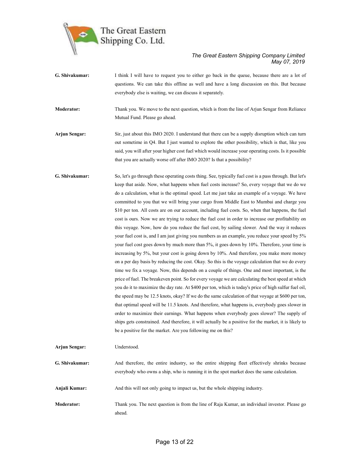

G. Shivakumar: I think I will have to request you to either go back in the queue, because there are a lot of questions. We can take this offline as well and have a long discussion on this. But because everybody else is waiting, we can discuss it separately.

Moderator: Thank you. We move to the next question, which is from the line of Arjun Sengar from Reliance Mutual Fund. Please go ahead.

- Arjun Sengar: Sir, just about this IMO 2020. I understand that there can be a supply disruption which can turn out sometime in Q4. But I just wanted to explore the other possibility, which is that, like you said, you will after your higher cost fuel which would increase your operating costs. Is it possible that you are actually worse off after IMO 2020? Is that a possibility?
- G. Shivakumar: So, let's go through these operating costs thing. See, typically fuel cost is a pass through. But let's keep that aside. Now, what happens when fuel costs increase? So, every voyage that we do we do a calculation, what is the optimal speed. Let me just take an example of a voyage. We have committed to you that we will bring your cargo from Middle East to Mumbai and charge you \$10 per ton. All costs are on our account, including fuel costs. So, when that happens, the fuel cost is ours. Now we are trying to reduce the fuel cost in order to increase our profitability on this voyage. Now, how do you reduce the fuel cost, by sailing slower. And the way it reduces your fuel cost is, and I am just giving you numbers as an example, you reduce your speed by 5% your fuel cost goes down by much more than 5%, it goes down by 10%. Therefore, your time is increasing by 5%, but your cost is going down by 10%. And therefore, you make more money on a per day basis by reducing the cost. Okay. So this is the voyage calculation that we do every time we fix a voyage. Now, this depends on a couple of things. One and most important, is the price of fuel. The breakeven point. So for every voyage we are calculating the best speed at which you do it to maximize the day rate. At \$400 per ton, which is today's price of high sulfur fuel oil, the speed may be 12.5 knots, okay? If we do the same calculation of that voyage at \$600 per ton, that optimal speed will be 11.5 knots. And therefore, what happens is, everybody goes slower in order to maximize their earnings. What happens when everybody goes slower? The supply of ships gets constrained. And therefore, it will actually be a positive for the market, it is likely to be a positive for the market. Are you following me on this?

| Arjun Sengar:     | Understood.                                                                                                                                                                                |
|-------------------|--------------------------------------------------------------------------------------------------------------------------------------------------------------------------------------------|
| G. Shivakumar:    | And therefore, the entire industry, so the entire shipping fleet effectively shrinks because<br>everybody who owns a ship, who is running it in the spot market does the same calculation. |
| Anjali Kumar:     | And this will not only going to impact us, but the whole shipping industry.                                                                                                                |
| <b>Moderator:</b> | Thank you. The next question is from the line of Raja Kumar, an individual investor. Please go<br>ahead.                                                                                   |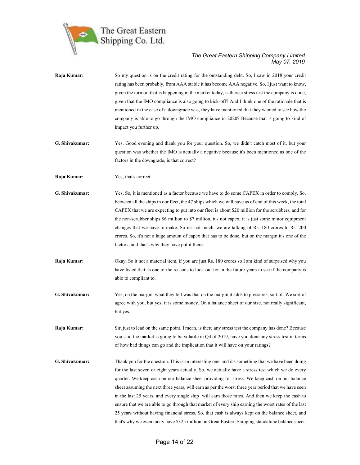

| Raja Kumar:    | So my question is on the credit rating for the outstanding debt. So, I saw in 2018 your credit<br>rating has been probably, from AAA stable it has become AAA negative. So, I just want to know,<br>given the turmoil that is happening in the market today, is there a stress test the company is done,<br>given that the IMO compliance is also going to kick-off? And I think one of the rationale that is<br>mentioned in the case of a downgrade was, they have mentioned that they wanted to see how the<br>company is able to go through the IMO compliance in 2020? Because that is going to kind of<br>impact you further up.                                                                                                                                                                                         |
|----------------|--------------------------------------------------------------------------------------------------------------------------------------------------------------------------------------------------------------------------------------------------------------------------------------------------------------------------------------------------------------------------------------------------------------------------------------------------------------------------------------------------------------------------------------------------------------------------------------------------------------------------------------------------------------------------------------------------------------------------------------------------------------------------------------------------------------------------------|
| G. Shivakumar: | Yes. Good evening and thank you for your question. So, we didn't catch most of it, but your<br>question was whether the IMO is actually a negative because it's been mentioned as one of the<br>factors in the downgrade, is that correct?                                                                                                                                                                                                                                                                                                                                                                                                                                                                                                                                                                                     |
| Raja Kumar:    | Yes, that's correct.                                                                                                                                                                                                                                                                                                                                                                                                                                                                                                                                                                                                                                                                                                                                                                                                           |
| G. Shivakumar: | Yes. So, it is mentioned as a factor because we have to do some CAPEX in order to comply. So,<br>between all the ships in our fleet, the 47 ships which we will have as of end of this week, the total<br>CAPEX that we are expecting to put into our fleet is about \$20 million for the scrubbers, and for<br>the non-scrubber ships \$6 million to \$7 million, it's not capex, it is just some minor equipment<br>changes that we have to make. So it's not much, we are talking of Rs. 180 crores to Rs. 200<br>crores. So, it's not a huge amount of capex that has to be done, but on the margin it's one of the<br>factors, and that's why they have put it there.                                                                                                                                                     |
| Raja Kumar:    | Okay. So it not a material item, if you are just Rs. 180 crores so I am kind of surprised why you<br>have listed that as one of the reasons to look out for in the future years to see if the company is<br>able to compliant to.                                                                                                                                                                                                                                                                                                                                                                                                                                                                                                                                                                                              |
| G. Shivakumar: | Yes, on the margin, what they felt was that on the margin it adds to pressures, sort of. We sort of<br>agree with you, but yes, it is some money. On a balance sheet of our size, not really significant,<br>but yes.                                                                                                                                                                                                                                                                                                                                                                                                                                                                                                                                                                                                          |
| Raja Kumar:    | Sir, just to lead on the same point. I mean, is there any stress test the company has done? Because<br>you said the market is going to be volatile in Q4 of 2019, have you done any stress test in terms<br>of how bad things can go and the implication that it will have on your ratings?                                                                                                                                                                                                                                                                                                                                                                                                                                                                                                                                    |
| G. Shivakumar: | Thank you for the question. This is an interesting one, and it's something that we have been doing<br>for the last seven or eight years actually. So, we actually have a stress test which we do every<br>quarter. We keep cash on our balance sheet providing for stress. We keep cash on our balance<br>sheet assuming the next three years, will earn as per the worst three year period that we have seen<br>in the last 25 years, and every single ship will earn those rates. And then we keep the cash to<br>ensure that we are able to go through that market of every ship earning the worst rates of the last<br>25 years without having financial stress. So, that cash is always kept on the balance sheet, and<br>that's why we even today have \$325 million on Great Eastern Shipping standalone balance sheet. |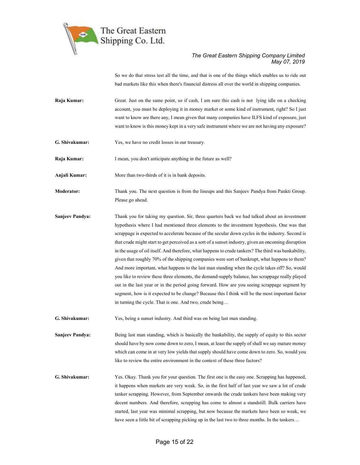

So we do that stress test all the time, and that is one of the things which enables us to ride out bad markets like this when there's financial distress all over the world in shipping companies.

- Raja Kumar: Great. Just on the same point, so if cash, I am sure this cash is not lying idle on a checking account, you must be deploying it in money market or some kind of instrument, right? So I just want to know are there any, I mean given that many companies have ILFS kind of exposure, just want to know is this money kept in a very safe instrument where we are not having any exposure?
- G. Shivakumar: Yes, we have no credit losses in our treasury.

Raja Kumar: I mean, you don't anticipate anything in the future as well?

Anjali Kumar: More than two-thirds of it is in bank deposits.

Moderator: Thank you. The next question is from the lineups and this Sanjeev Pandya from Pankti Group. Please go ahead.

- Sanjeev Pandya: Thank you for taking my question. Sir, three quarters back we had talked about an investment hypothesis where I had mentioned three elements to the investment hypothesis. One was that scrappage is expected to accelerate because of the secular down cycles in the industry. Second is that crude might start to get perceived as a sort of a sunset industry, given an oncoming disruption in the usage of oil itself. And therefore, what happens to crude tankers? The third was bankability, given that roughly 70% of the shipping companies were sort of bankrupt, what happens to them? And more important, what happens to the last man standing when the cycle takes off? So, would you like to review these three elements, the demand-supply balance, has scrappage really played out in the last year or in the period going forward. How are you seeing scrappage segment by segment, how is it expected to be change? Because this I think will be the most important factor in turning the cycle. That is one. And two, crude being…
- G. Shivakumar: Yes, being a sunset industry. And third was on being last man standing.

Sanjeev Pandya: Being last man standing, which is basically the bankability, the supply of equity to this sector should have by now come down to zero, I mean, at least the supply of shall we say mature money which can come in at very low yields that supply should have come down to zero. So, would you like to review the entire environment in the context of these three factors?

G. Shivakumar: Yes. Okay. Thank you for your question. The first one is the easy one. Scrapping has happened, it happens when markets are very weak. So, in the first half of last year we saw a lot of crude tanker scrapping. However, from September onwards the crude tankers have been making very decent numbers. And therefore, scrapping has come to almost a standstill. Bulk carriers have started, last year was minimal scrapping, but now because the markets have been so weak, we have seen a little bit of scrapping picking up in the last two to three months. In the tankers...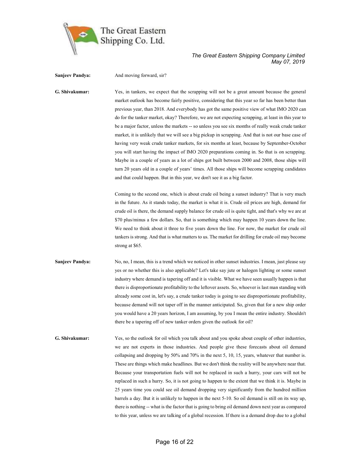

Sanjeev Pandya: And moving forward, sir?

G. Shivakumar: Yes, in tankers, we expect that the scrapping will not be a great amount because the general market outlook has become fairly positive, considering that this year so far has been better than previous year, than 2018. And everybody has got the same positive view of what IMO 2020 can do for the tanker market, okay? Therefore, we are not expecting scrapping, at least in this year to be a major factor, unless the markets -- so unless you see six months of really weak crude tanker market, it is unlikely that we will see a big pickup in scrapping. And that is not our base case of having very weak crude tanker markets, for six months at least, because by September-October you will start having the impact of IMO 2020 preparations coming in. So that is on scrapping. Maybe in a couple of years as a lot of ships got built between 2000 and 2008, those ships will turn 20 years old in a couple of years' times. All those ships will become scrapping candidates and that could happen. But in this year, we don't see it as a big factor.

> Coming to the second one, which is about crude oil being a sunset industry? That is very much in the future. As it stands today, the market is what it is. Crude oil prices are high, demand for crude oil is there, the demand supply balance for crude oil is quite tight, and that's why we are at \$70 plus/minus a few dollars. So, that is something which may happen 10 years down the line. We need to think about it three to five years down the line. For now, the market for crude oil tankers is strong. And that is what matters to us. The market for drilling for crude oil may become strong at \$65.

Sanjeev Pandya: No, no, I mean, this is a trend which we noticed in other sunset industries. I mean, just please say yes or no whether this is also applicable? Let's take say jute or halogen lighting or some sunset industry where demand is tapering off and it is visible. What we have seen usually happen is that there is disproportionate profitability to the leftover assets. So, whoever is last man standing with already some cost in, let's say, a crude tanker today is going to see disproportionate profitability, because demand will not taper off in the manner anticipated. So, given that for a new ship order you would have a 20 years horizon, I am assuming, by you I mean the entire industry. Shouldn't there be a tapering off of new tanker orders given the outlook for oil?

G. Shivakumar: Yes, so the outlook for oil which you talk about and you spoke about couple of other industries, we are not experts in those industries. And people give these forecasts about oil demand collapsing and dropping by 50% and 70% in the next 5, 10, 15, years, whatever that number is. These are things which make headlines. But we don't think the reality will be anywhere near that. Because your transportation fuels will not be replaced in such a hurry, your cars will not be replaced in such a hurry. So, it is not going to happen to the extent that we think it is. Maybe in 25 years time you could see oil demand dropping very significantly from the hundred million barrels a day. But it is unlikely to happen in the next 5-10. So oil demand is still on its way up, there is nothing -- what is the factor that is going to bring oil demand down next year as compared to this year, unless we are talking of a global recession. If there is a demand drop due to a global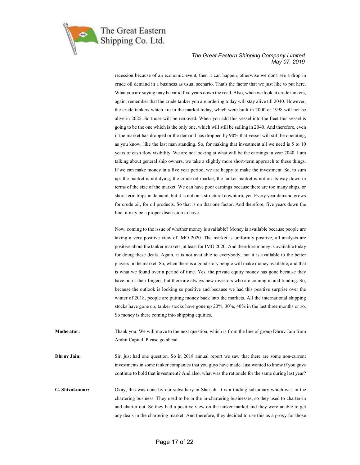

recession because of an economic event, then it can happen, otherwise we don't see a drop in crude oil demand in a business as usual scenario. That's the factor that we just like to put here. What you are saying may be valid five years down the road. Also, when we look at crude tankers, again, remember that the crude tanker you are ordering today will stay alive till 2040. However, the crude tankers which are in the market today, which were built in 2000 or 1998 will not be alive in 2025. So those will be removed. When you add this vessel into the fleet this vessel is going to be the one which is the only one, which will still be sailing in 2040. And therefore, even if the market has dropped or the demand has dropped by 90% that vessel will still be operating, as you know, like the last man standing. So, for making that investment all we need is 5 to 10 years of cash flow visibility. We are not looking at what will be the earnings in year 2040. I am talking about general ship owners, we take a slightly more short-term approach to these things. If we can make money in a five year period, we are happy to make the investment. So, to sum up: the market is not dying, the crude oil market, the tanker market is not on its way down in terms of the size of the market. We can have poor earnings because there are too many ships, or short-term blips in demand, but it is not on a structural downturn, yet. Every year demand grows for crude oil, for oil products. So that is on that one factor. And therefore, five years down the line, it may be a proper discussion to have.

 Now, coming to the issue of whether money is available? Money is available because people are taking a very positive view of IMO 2020. The market is uniformly positive, all analysts are positive about the tanker markets, at least for IMO 2020. And therefore money is available today for doing these deals. Again, it is not available to everybody, but it is available to the better players in the market. So, when there is a good story people will make money available, and that is what we found over a period of time. Yes, the private equity money has gone because they have burnt their fingers, but there are always new investors who are coming in and funding. So, because the outlook is looking so positive and because we had this positive surprise over the winter of 2018, people are putting money back into the markets. All the international shipping stocks have gone up, tanker stocks have gone up 20%, 30%, 40% in the last three months or so. So money is there coming into shipping equities.

**Moderator:** Thank you. We will move to the next question, which is from the line of group Dhruv Jain from Ambit Capital. Please go ahead.

**Dhruv Jain:** Sir, just had one question. So in 2018 annual report we saw that there are some non-current investments in some tanker companies that you guys have made. Just wanted to know if you guys continue to hold that investment? And also, what was the rationale for the same during last year?

G. Shivakumar: Okay, this was done by our subsidiary in Sharjah. It is a trading subsidiary which was in the chartering business. They used to be in the in-chartering businesses, so they used to charter-in and charter-out. So they had a positive view on the tanker market and they were unable to get any deals in the chartering market. And therefore, they decided to use this as a proxy for those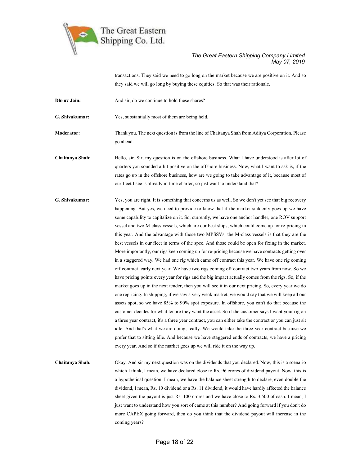

transactions. They said we need to go long on the market because we are positive on it. And so they said we will go long by buying these equities. So that was their rationale.

Dhruv Jain: And sir, do we continue to hold these shares?

G. Shivakumar: Yes, substantially most of them are being held.

Moderator: Thank you. The next question is from the line of Chaitanya Shah from Aditya Corporation. Please go ahead.

Chaitanya Shah: Hello, sir. Sir, my question is on the offshore business. What I have understood is after lot of quarters you sounded a bit positive on the offshore business. Now, what I want to ask is, if the rates go up in the offshore business, how are we going to take advantage of it, because most of our fleet I see is already in time charter, so just want to understand that?

G. Shivakumar: Yes, you are right. It is something that concerns us as well. So we don't yet see that big recovery happening. But yes, we need to provide to know that if the market suddenly goes up we have some capability to capitalize on it. So, currently, we have one anchor handler, one ROV support vessel and two M-class vessels, which are our best ships, which could come up for re-pricing in this year. And the advantage with those two MPSSVs, the M-class vessels is that they are the best vessels in our fleet in terms of the spec. And those could be open for fixing in the market. More importantly, our rigs keep coming up for re-pricing because we have contracts getting over in a staggered way. We had one rig which came off contract this year. We have one rig coming off contract early next year. We have two rigs coming off contract two years from now. So we have pricing points every year for rigs and the big impact actually comes from the rigs. So, if the market goes up in the next tender, then you will see it in our next pricing. So, every year we do one repricing. In shipping, if we saw a very weak market, we would say that we will keep all our assets spot, so we have 85% to 90% spot exposure. In offshore, you can't do that because the customer decides for what tenure they want the asset. So if the customer says I want your rig on a three year contract, it's a three year contract, you can either take the contract or you can just sit idle. And that's what we are doing, really. We would take the three year contract because we prefer that to sitting idle. And because we have staggered ends of contracts, we have a pricing every year. And so if the market goes up we will ride it on the way up.

Chaitanya Shah: Okay. And sir my next question was on the dividends that you declared. Now, this is a scenario which I think, I mean, we have declared close to Rs. 96 crores of dividend payout. Now, this is a hypothetical question. I mean, we have the balance sheet strength to declare, even double the dividend, I mean, Rs. 10 dividend or a Rs. 11 dividend, it would have hardly affected the balance sheet given the payout is just Rs. 100 crores and we have close to Rs. 3,500 of cash. I mean, I just want to understand how you sort of came at this number? And going forward if you don't do more CAPEX going forward, then do you think that the dividend payout will increase in the coming years?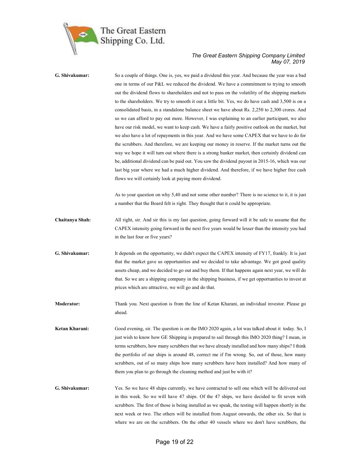

# G. Shivakumar: So a couple of things. One is, yes, we paid a dividend this year. And because the year was a bad one in terms of our P&L we reduced the dividend. We have a commitment to trying to smooth out the dividend flows to shareholders and not to pass on the volatility of the shipping markets to the shareholders. We try to smooth it out a little bit. Yes, we do have cash and 3,500 is on a consolidated basis, in a standalone balance sheet we have about Rs. 2,250 to 2,300 crores. And so we can afford to pay out more. However, I was explaining to an earlier participant, we also have our risk model, we want to keep cash. We have a fairly positive outlook on the market, but we also have a lot of repayments in this year. And we have some CAPEX that we have to do for the scrubbers. And therefore, we are keeping our money in reserve. If the market turns out the way we hope it will turn out where there is a strong banker market, then certainly dividend can be, additional dividend can be paid out. You saw the dividend payout in 2015-16, which was our last big year where we had a much higher dividend. And therefore, if we have higher free cash flows we will certainly look at paying more dividend. As to your question on why 5,40 and not some other number? There is no science to it, it is just a number that the Board felt is right. They thought that it could be appropriate. Chaitanya Shah: All right, sir. And sir this is my last question, going forward will it be safe to assume that the CAPEX intensity going forward in the next five years would be lesser than the intensity you had in the last four or five years? G. Shivakumar: It depends on the opportunity, we didn't expect the CAPEX intensity of FY17, frankly. It is just that the market gave us opportunities and we decided to take advantage. We got good quality assets cheap, and we decided to go out and buy them. If that happens again next year, we will do that. So we are a shipping company in the shipping business, if we get opportunities to invest at prices which are attractive, we will go and do that. Moderator: Thank you. Next question is from the line of Ketan Kharani, an individual investor. Please go ahead. Ketan Kharani: Good evening, sir. The question is on the IMO 2020 again, a lot was talked about it today. So, I just wish to know how GE Shipping is prepared to sail through this IMO 2020 thing? I mean, in terms scrubbers, how many scrubbers that we have already installed and how many ships? I think the portfolio of our ships is around 48, correct me if I'm wrong. So, out of those, how many scrubbers, out of so many ships how many scrubbers have been installed? And how many of them you plan to go through the cleaning method and just be with it? G. Shivakumar: Yes. So we have 48 ships currently, we have contracted to sell one which will be delivered out in this week. So we will have 47 ships. Of the 47 ships, we have decided to fit seven with scrubbers. The first of those is being installed as we speak, the testing will happen shortly in the next week or two. The others will be installed from August onwards, the other six. So that is where we are on the scrubbers. On the other 40 vessels where we don't have scrubbers, the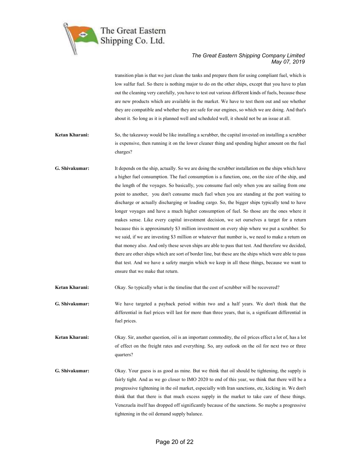

transition plan is that we just clean the tanks and prepare them for using compliant fuel, which is low sulfur fuel. So there is nothing major to do on the other ships, except that you have to plan out the cleaning very carefully, you have to test out various different kinds of fuels, because these are new products which are available in the market. We have to test them out and see whether they are compatible and whether they are safe for our engines, so which we are doing. And that's about it. So long as it is planned well and scheduled well, it should not be an issue at all.

- Ketan Kharani: So, the takeaway would be like installing a scrubber, the capital invested on installing a scrubber is expensive, then running it on the lower cleaner thing and spending higher amount on the fuel charges?
- G. Shivakumar: It depends on the ship, actually. So we are doing the scrubber installation on the ships which have a higher fuel consumption. The fuel consumption is a function, one, on the size of the ship, and the length of the voyages. So basically, you consume fuel only when you are sailing from one point to another, you don't consume much fuel when you are standing at the port waiting to discharge or actually discharging or loading cargo. So, the bigger ships typically tend to have longer voyages and have a much higher consumption of fuel. So those are the ones where it makes sense. Like every capital investment decision, we set ourselves a target for a return because this is approximately \$3 million investment on every ship where we put a scrubber. So we said, if we are investing \$3 million or whatever that number is, we need to make a return on that money also. And only these seven ships are able to pass that test. And therefore we decided, there are other ships which are sort of border line, but these are the ships which were able to pass that test. And we have a safety margin which we keep in all these things, because we want to ensure that we make that return.
- Ketan Kharani: Okay. So typically what is the timeline that the cost of scrubber will be recovered?
- G. Shivakumar: We have targeted a payback period within two and a half years. We don't think that the differential in fuel prices will last for more than three years, that is, a significant differential in fuel prices.
- Ketan Kharani: Okay. Sir, another question, oil is an important commodity, the oil prices effect a lot of, has a lot of effect on the freight rates and everything. So, any outlook on the oil for next two or three quarters?
- G. Shivakumar: Okay. Your guess is as good as mine. But we think that oil should be tightening, the supply is fairly tight. And as we go closer to IMO 2020 to end of this year, we think that there will be a progressive tightening in the oil market, especially with Iran sanctions, etc, kicking in. We don't think that that there is that much excess supply in the market to take care of these things. Venezuela itself has dropped off significantly because of the sanctions. So maybe a progressive tightening in the oil demand supply balance.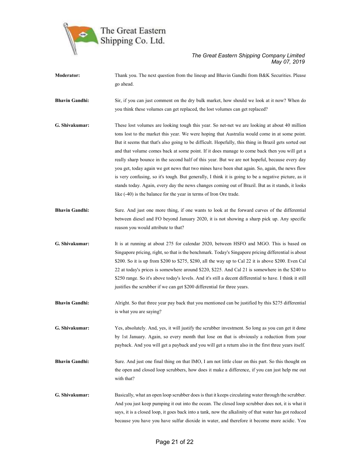

| Moderator:            | Thank you. The next question from the lineup and Bhavin Gandhi from B&K Securities. Please<br>go ahead.                                                                                                                                                                                                                                                                                                                                                                                                                                                                                                                                                                                                                                                                                                                                                                                      |
|-----------------------|----------------------------------------------------------------------------------------------------------------------------------------------------------------------------------------------------------------------------------------------------------------------------------------------------------------------------------------------------------------------------------------------------------------------------------------------------------------------------------------------------------------------------------------------------------------------------------------------------------------------------------------------------------------------------------------------------------------------------------------------------------------------------------------------------------------------------------------------------------------------------------------------|
| <b>Bhavin Gandhi:</b> | Sir, if you can just comment on the dry bulk market, how should we look at it now? When do<br>you think these volumes can get replaced, the lost volumes can get replaced?                                                                                                                                                                                                                                                                                                                                                                                                                                                                                                                                                                                                                                                                                                                   |
| G. Shivakumar:        | These lost volumes are looking tough this year. So net-net we are looking at about 40 million<br>tons lost to the market this year. We were hoping that Australia would come in at some point.<br>But it seems that that's also going to be difficult. Hopefully, this thing in Brazil gets sorted out<br>and that volume comes back at some point. If it does manage to come back then you will get a<br>really sharp bounce in the second half of this year. But we are not hopeful, because every day<br>you get, today again we got news that two mines have been shut again. So, again, the news flow<br>is very confusing, so it's tough. But generally, I think it is going to be a negative picture, as it<br>stands today. Again, every day the news changes coming out of Brazil. But as it stands, it looks<br>like (-40) is the balance for the year in terms of Iron Ore trade. |
| <b>Bhavin Gandhi:</b> | Sure. And just one more thing, if one wants to look at the forward curves of the differential<br>between diesel and FO beyond January 2020, it is not showing a sharp pick up. Any specific<br>reason you would attribute to that?                                                                                                                                                                                                                                                                                                                                                                                                                                                                                                                                                                                                                                                           |
| G. Shivakumar:        | It is at running at about 275 for calendar 2020, between HSFO and MGO. This is based on<br>Singapore pricing, right, so that is the benchmark. Today's Singapore pricing differential is about<br>\$200. So it is up from \$200 to \$275, \$280, all the way up to Cal 22 it is above \$200. Even Cal<br>22 at today's prices is somewhere around \$220, \$225. And Cal 21 is somewhere in the \$240 to<br>\$250 range. So it's above today's levels. And it's still a decent differential to have. I think it still<br>justifies the scrubber if we can get \$200 differential for three years.                                                                                                                                                                                                                                                                                             |
| <b>Bhavin Gandhi:</b> | Alright. So that three year pay back that you mentioned can be justified by this \$275 differential<br>is what you are saying?                                                                                                                                                                                                                                                                                                                                                                                                                                                                                                                                                                                                                                                                                                                                                               |
| G. Shivakumar:        | Yes, absolutely. And, yes, it will justify the scrubber investment. So long as you can get it done<br>by 1st January. Again, so every month that lose on that is obviously a reduction from your<br>payback. And you will get a payback and you will get a return also in the first three years itself.                                                                                                                                                                                                                                                                                                                                                                                                                                                                                                                                                                                      |
| <b>Bhavin Gandhi:</b> | Sure. And just one final thing on that IMO, I am not little clear on this part. So this thought on<br>the open and closed loop scrubbers, how does it make a difference, if you can just help me out<br>with that?                                                                                                                                                                                                                                                                                                                                                                                                                                                                                                                                                                                                                                                                           |
| G. Shivakumar:        | Basically, what an open loop scrubber does is that it keeps circulating water through the scrubber.<br>And you just keep pumping it out into the ocean. The closed loop scrubber does not, it is what it<br>says, it is a closed loop, it goes back into a tank, now the alkalinity of that water has got reduced<br>because you have you have sulfur dioxide in water, and therefore it become more acidic. You                                                                                                                                                                                                                                                                                                                                                                                                                                                                             |